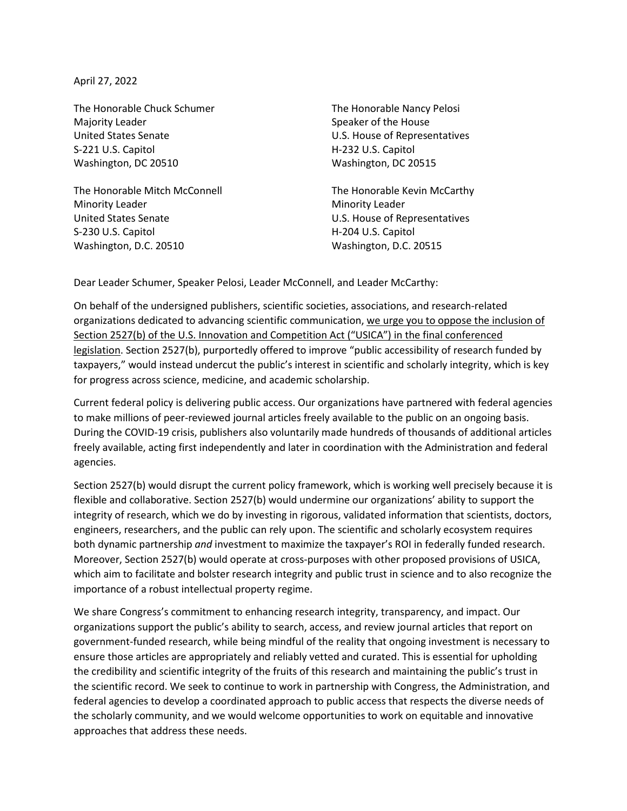April 27, 2022

The Honorable Chuck Schumer The Honorable Nancy Pelosi Majority Leader **Speaker of the House** Speaker of the House United States Senate U.S. House of Representatives S-221 U.S. Capitol **H-232 U.S. Capitol** Washington, DC 20510 Washington, DC 20515

The Honorable Mitch McConnell The Honorable Kevin McCarthy Minority Leader **Minority Leader** Minority Leader United States Senate U.S. House of Representatives S-230 U.S. Capitol **H-204 U.S. Capitol** Washington, D.C. 20510 Washington, D.C. 20515

Dear Leader Schumer, Speaker Pelosi, Leader McConnell, and Leader McCarthy:

On behalf of the undersigned publishers, scientific societies, associations, and research-related organizations dedicated to advancing scientific communication, we urge you to oppose the inclusion of Section 2527(b) of the U.S. Innovation and Competition Act ("USICA") in the final conferenced legislation. Section 2527(b), purportedly offered to improve "public accessibility of research funded by taxpayers," would instead undercut the public's interest in scientific and scholarly integrity, which is key for progress across science, medicine, and academic scholarship.

Current federal policy is delivering public access. Our organizations have partnered with federal agencies to make millions of peer-reviewed journal articles freely available to the public on an ongoing basis. During the COVID-19 crisis, publishers also voluntarily made hundreds of thousands of additional articles freely available, acting first independently and later in coordination with the Administration and federal agencies.

Section 2527(b) would disrupt the current policy framework, which is working well precisely because it is flexible and collaborative. Section 2527(b) would undermine our organizations' ability to support the integrity of research, which we do by investing in rigorous, validated information that scientists, doctors, engineers, researchers, and the public can rely upon. The scientific and scholarly ecosystem requires both dynamic partnership *and* investment to maximize the taxpayer's ROI in federally funded research. Moreover, Section 2527(b) would operate at cross-purposes with other proposed provisions of USICA, which aim to facilitate and bolster research integrity and public trust in science and to also recognize the importance of a robust intellectual property regime.

We share Congress's commitment to enhancing research integrity, transparency, and impact. Our organizations support the public's ability to search, access, and review journal articles that report on government-funded research, while being mindful of the reality that ongoing investment is necessary to ensure those articles are appropriately and reliably vetted and curated. This is essential for upholding the credibility and scientific integrity of the fruits of this research and maintaining the public's trust in the scientific record. We seek to continue to work in partnership with Congress, the Administration, and federal agencies to develop a coordinated approach to public access that respects the diverse needs of the scholarly community, and we would welcome opportunities to work on equitable and innovative approaches that address these needs.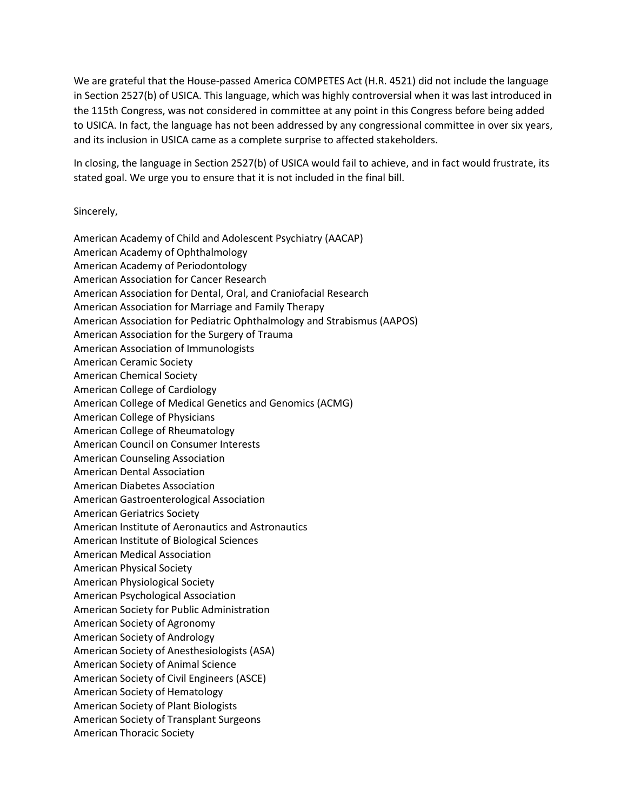We are grateful that the House-passed America COMPETES Act (H.R. 4521) did not include the language in Section 2527(b) of USICA. This language, which was highly controversial when it was last introduced in the 115th Congress, was not considered in committee at any point in this Congress before being added to USICA. In fact, the language has not been addressed by any congressional committee in over six years, and its inclusion in USICA came as a complete surprise to affected stakeholders.

In closing, the language in Section 2527(b) of USICA would fail to achieve, and in fact would frustrate, its stated goal. We urge you to ensure that it is not included in the final bill.

Sincerely,

American Academy of Child and Adolescent Psychiatry (AACAP) American Academy of Ophthalmology American Academy of Periodontology American Association for Cancer Research American Association for Dental, Oral, and Craniofacial Research American Association for Marriage and Family Therapy American Association for Pediatric Ophthalmology and Strabismus (AAPOS) American Association for the Surgery of Trauma American Association of Immunologists American Ceramic Society American Chemical Society American College of Cardiology American College of Medical Genetics and Genomics (ACMG) American College of Physicians American College of Rheumatology American Council on Consumer Interests American Counseling Association American Dental Association American Diabetes Association American Gastroenterological Association American Geriatrics Society American Institute of Aeronautics and Astronautics American Institute of Biological Sciences American Medical Association American Physical Society American Physiological Society American Psychological Association American Society for Public Administration American Society of Agronomy American Society of Andrology American Society of Anesthesiologists (ASA) American Society of Animal Science American Society of Civil Engineers (ASCE) American Society of Hematology American Society of Plant Biologists American Society of Transplant Surgeons American Thoracic Society